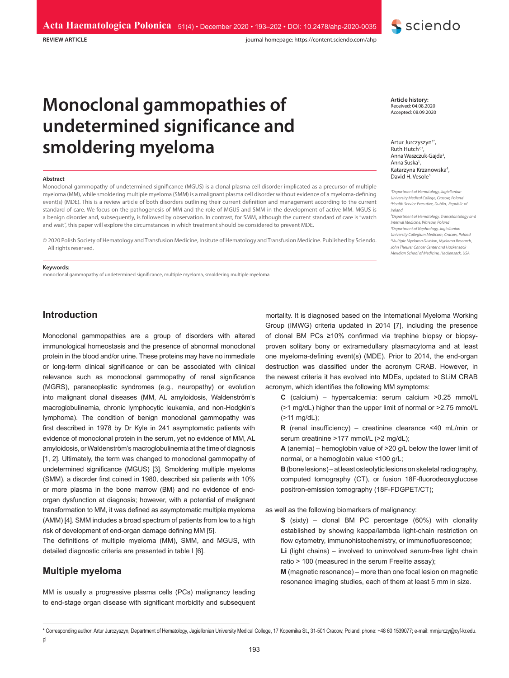**REVIEW ARTICLE**

journal homepage: https://content.sciendo.com/ahp

# **Monoclonal gammopathies of undetermined significance and smoldering myeloma**

#### **Abstract**

Monoclonal gammopathy of undetermined significance (MGUS) is a clonal plasma cell disorder implicated as a precursor of multiple myeloma (MM), while smoldering multiple myeloma (SMM) is a malignant plasma cell disorder without evidence of a myeloma-defining event(s) (MDE). This is a review article of both disorders outlining their current definition and management according to the current standard of care. We focus on the pathogenesis of MM and the role of MGUS and SMM in the development of active MM. MGUS is a benign disorder and, subsequently, is followed by observation. In contrast, for SMM, although the current standard of care is "watch and wait", this paper will explore the circumstances in which treatment should be considered to prevent MDE.

© 2020 Polish Society of Hematology and Transfusion Medicine, Insitute of Hematology and Transfusion Medicine. Published by Sciendo. All rights reserved.

#### **Keywords:**

monoclonal gammopathy of undetermined significance, multiple myeloma, smoldering multiple myeloma

**Introduction**

Monoclonal gammopathies are a group of disorders with altered immunological homeostasis and the presence of abnormal monoclonal protein in the blood and/or urine. These proteins may have no immediate or long-term clinical significance or can be associated with clinical relevance such as monoclonal gammopathy of renal significance (MGRS), paraneoplastic syndromes (e.g., neuropathy) or evolution into malignant clonal diseases (MM, AL amyloidosis, Waldenström's macroglobulinemia, chronic lymphocytic leukemia, and non-Hodgkin's lymphoma). The condition of benign monoclonal gammopathy was first described in 1978 by Dr Kyle in 241 asymptomatic patients with evidence of monoclonal protein in the serum, yet no evidence of MM, AL amyloidosis, or Waldenström's macroglobulinemia at the time of diagnosis [1, 2]. Ultimately, the term was changed to monoclonal gammopathy of undetermined significance (MGUS) [3]. Smoldering multiple myeloma (SMM), a disorder first coined in 1980, described six patients with 10% or more plasma in the bone marrow (BM) and no evidence of endorgan dysfunction at diagnosis; however, with a potential of malignant transformation to MM, it was defined as asymptomatic multiple myeloma (AMM) [4]. SMM includes a broad spectrum of patients from low to a high risk of development of end-organ damage defining MM [5].

The definitions of multiple myeloma (MM), SMM, and MGUS, with detailed diagnostic criteria are presented in table I [6].

# **Multiple myeloma**

MM is usually a progressive plasma cells (PCs) malignancy leading to end-stage organ disease with significant morbidity and subsequent **Article history:** Received: 04.08.2020 Accepted: 08.09.2020

**S** sciendo

Artur Jurczyszyn<sup>1\*</sup>, Ruth Hutch $^{2,3}$ Anna Waszczuk-Gajda<sup>3</sup>, Anna Suska<sup>1</sup>, Katarzyna Krzanowska4 , David H. Vesole<sup>5</sup>

*1 Department of Hematology, Jagiellonian University Medical College, Cracow, Poland 2 Health Service Executive, Dublin, Republic of Ireland*

*3 Department of Hematology, Transplantology and Internal Medicine, Warsaw, Poland 4 Department of Nephrology, Jagiellonian University Collegium Medicum, Cracow, Poland 5 Multiple Myeloma Division, Myeloma Research, John Theurer Cancer Center and Hackensack Meridian School of Medicine, Hackensack, USA*

mortality. It is diagnosed based on the International Myeloma Working Group (IMWG) criteria updated in 2014 [7], including the presence of clonal BM PCs ≥10% confirmed via trephine biopsy or biopsyproven solitary bony or extramedullary plasmacytoma and at least one myeloma-defining event(s) (MDE). Prior to 2014, the end-organ destruction was classified under the acronym CRAB. However, in the newest criteria it has evolved into MDEs, updated to SLiM CRAB acronym, which identifies the following MM symptoms:

**C** (calcium) – hypercalcemia: serum calcium >0.25 mmol/L (>1 mg/dL) higher than the upper limit of normal or >2.75 mmol/L (>11 mg/dL);

**R** (renal insufficiency) – creatinine clearance <40 mL/min or serum creatinine >177 mmol/L (>2 mg/dL);

**A** (anemia) – hemoglobin value of >20 g/L below the lower limit of normal, or a hemoglobin value <100 g/L;

**B** (bone lesions) – at least osteolytic lesions on skeletal radiography, computed tomography (CT), or fusion 18F-fluorodeoxyglucose positron-emission tomography (18F-FDGPET/CT);

as well as the following biomarkers of malignancy:

**S** (sixty) – clonal BM PC percentage (60%) with clonality established by showing kappa/lambda light-chain restriction on flow cytometry, immunohistochemistry, or immunofluorescence; **Li** (light chains) – involved to uninvolved serum-free light chain

ratio > 100 (measured in the serum Freelite assay); **M** (magnetic resonance) – more than one focal lesion on magnetic

resonance imaging studies, each of them at least 5 mm in size.

<sup>\*</sup> Corresponding author: Artur Jurczyszyn, Department of Hematology, Jagiellonian University Medical College, 17 Kopernika St., 31-501 Cracow, Poland, phone: +48 60 1539077; e-mail: mmjurczy@cyf-kr.edu. pl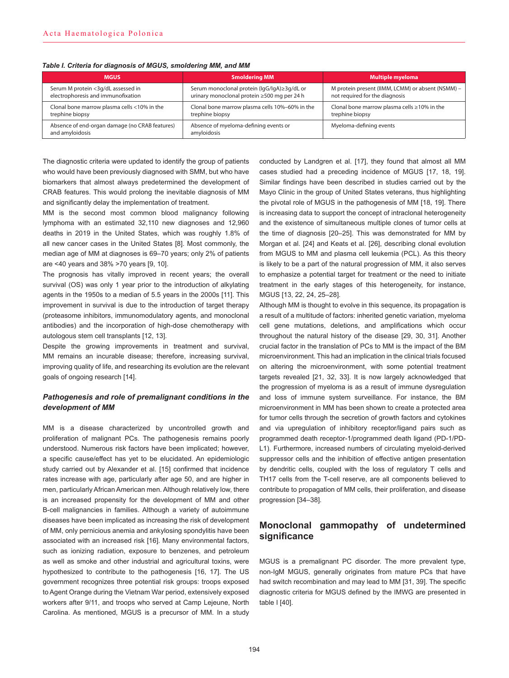*Table I. Criteria for diagnosis of MGUS, smoldering MM, and MM*

| <b>MGUS</b>                                                       | <b>Smoldering MM</b>                                 | <b>Multiple myeloma</b>                           |
|-------------------------------------------------------------------|------------------------------------------------------|---------------------------------------------------|
| Serum M protein <3g/dL assessed in                                | Serum monoclonal protein (IgG/IgA)≥3g/dL or          | M protein present (IIMM, LCMM) or absent (NSMM) - |
| electrophoresis and immunofixation                                | urinary monoclonal protein ≥500 mg per 24 h          | not required for the diagnosis                    |
| Clonal bone marrow plasma cells <10% in the                       | Clonal bone marrow plasma cells 10%-60% in the       | Clonal bone marrow plasma cells $\geq$ 10% in the |
| trephine biopsy                                                   | trephine biopsy                                      | trephine biopsy                                   |
| Absence of end-organ damage (no CRAB features)<br>and amyloidosis | Absence of myeloma-defining events or<br>amyloidosis | Myeloma-defining events                           |

The diagnostic criteria were updated to identify the group of patients who would have been previously diagnosed with SMM, but who have biomarkers that almost always predetermined the development of CRAB features. This would prolong the inevitable diagnosis of MM and significantly delay the implementation of treatment.

MM is the second most common blood malignancy following lymphoma with an estimated 32,110 new diagnoses and 12,960 deaths in 2019 in the United States, which was roughly 1.8% of all new cancer cases in the United States [8]. Most commonly, the median age of MM at diagnoses is 69–70 years; only 2% of patients are <40 years and 38% >70 years [9, 10].

The prognosis has vitally improved in recent years; the overall survival (OS) was only 1 year prior to the introduction of alkylating agents in the 1950s to a median of 5.5 years in the 2000s [11]. This improvement in survival is due to the introduction of target therapy (proteasome inhibitors, immunomodulatory agents, and monoclonal antibodies) and the incorporation of high-dose chemotherapy with autologous stem cell transplants [12, 13].

Despite the growing improvements in treatment and survival, MM remains an incurable disease; therefore, increasing survival, improving quality of life, and researching its evolution are the relevant goals of ongoing research [14].

# *Pathogenesis and role of premalignant conditions in the development of MM*

MM is a disease characterized by uncontrolled growth and proliferation of malignant PCs. The pathogenesis remains poorly understood. Numerous risk factors have been implicated; however, a specific cause/effect has yet to be elucidated. An epidemiologic study carried out by Alexander et al. [15] confirmed that incidence rates increase with age, particularly after age 50, and are higher in men, particularly African American men. Although relatively low, there is an increased propensity for the development of MM and other B-cell malignancies in families. Although a variety of autoimmune diseases have been implicated as increasing the risk of development of MM, only pernicious anemia and ankylosing spondylitis have been associated with an increased risk [16]. Many environmental factors, such as ionizing radiation, exposure to benzenes, and petroleum as well as smoke and other industrial and agricultural toxins, were hypothesized to contribute to the pathogenesis [16, 17]. The US government recognizes three potential risk groups: troops exposed to Agent Orange during the Vietnam War period, extensively exposed workers after 9/11, and troops who served at Camp Lejeune, North Carolina. As mentioned, MGUS is a precursor of MM. In a study

conducted by Landgren et al. [17], they found that almost all MM cases studied had a preceding incidence of MGUS [17, 18, 19]. Similar findings have been described in studies carried out by the Mayo Clinic in the group of United States veterans, thus highlighting the pivotal role of MGUS in the pathogenesis of MM [18, 19]. There is increasing data to support the concept of intraclonal heterogeneity and the existence of simultaneous multiple clones of tumor cells at the time of diagnosis [20–25]. This was demonstrated for MM by Morgan et al. [24] and Keats et al. [26], describing clonal evolution from MGUS to MM and plasma cell leukemia (PCL). As this theory is likely to be a part of the natural progression of MM, it also serves to emphasize a potential target for treatment or the need to initiate treatment in the early stages of this heterogeneity, for instance, MGUS [13, 22, 24, 25–28].

Although MM is thought to evolve in this sequence, its propagation is a result of a multitude of factors: inherited genetic variation, myeloma cell gene mutations, deletions, and amplifications which occur throughout the natural history of the disease [29, 30, 31]. Another crucial factor in the translation of PCs to MM is the impact of the BM microenvironment. This had an implication in the clinical trials focused on altering the microenvironment, with some potential treatment targets revealed [21, 32, 33]. It is now largely acknowledged that the progression of myeloma is as a result of immune dysregulation and loss of immune system surveillance. For instance, the BM microenvironment in MM has been shown to create a protected area for tumor cells through the secretion of growth factors and cytokines and via upregulation of inhibitory receptor/ligand pairs such as programmed death receptor-1/programmed death ligand (PD-1/PD-L1). Furthermore, increased numbers of circulating myeloid-derived suppressor cells and the inhibition of effective antigen presentation by dendritic cells, coupled with the loss of regulatory T cells and TH17 cells from the T-cell reserve, are all components believed to contribute to propagation of MM cells, their proliferation, and disease progression [34–38].

# **Monoclonal gammopathy of undetermined significance**

MGUS is a premalignant PC disorder. The more prevalent type, non-IgM MGUS, generally originates from mature PCs that have had switch recombination and may lead to MM [31, 39]. The specific diagnostic criteria for MGUS defined by the IMWG are presented in table I [40].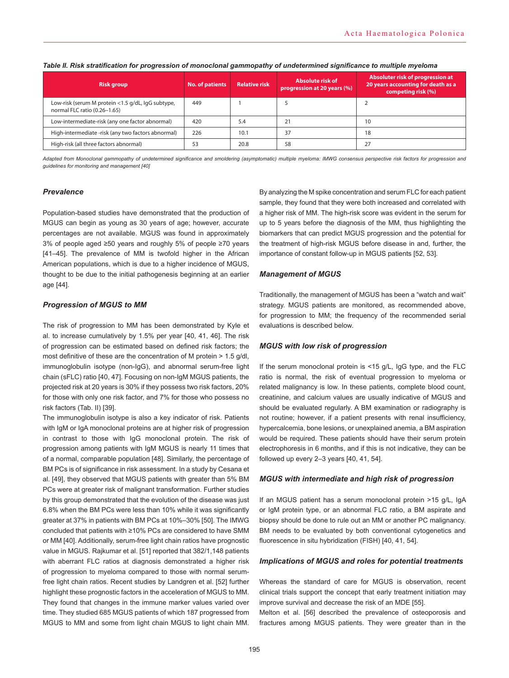| <b>Risk group</b>                                                                 | <b>No. of patients</b> | <b>Relative risk</b> | Absolute risk of<br>progression at 20 years (%) | Absoluter risk of progression at<br>20 years accounting for death as a<br>competing risk (%) |
|-----------------------------------------------------------------------------------|------------------------|----------------------|-------------------------------------------------|----------------------------------------------------------------------------------------------|
| Low-risk (serum M protein <1.5 g/dL, lgG subtype,<br>normal FLC ratio (0.26-1.65) | 449                    |                      |                                                 |                                                                                              |
| Low-intermediate-risk (any one factor abnormal)                                   | 420                    | 5.4                  |                                                 | 10                                                                                           |
| High-intermediate -risk (any two factors abnormal)                                | 226                    | 10.1                 | 37                                              | 18                                                                                           |
| High-risk (all three factors abnormal)                                            | 53                     | 20.8                 | 58                                              | 27                                                                                           |

#### *Table II. Risk stratification for progression of monoclonal gammopathy of undetermined significance to multiple myeloma*

Adapted from Monoclonal gammopathy of undetermined significance and smoldering (asymptomatic) multiple myeloma: IMWG consensus perspective risk factors for progression and *guidelines for monitoring and management [40]*

# *Prevalence*

Population-based studies have demonstrated that the production of MGUS can begin as young as 30 years of age; however, accurate percentages are not available. MGUS was found in approximately 3% of people aged ≥50 years and roughly 5% of people ≥70 years [41–45]. The prevalence of MM is twofold higher in the African American populations, which is due to a higher incidence of MGUS, thought to be due to the initial pathogenesis beginning at an earlier age [44].

# *Progression of MGUS to MM*

The risk of progression to MM has been demonstrated by Kyle et al. to increase cumulatively by 1.5% per year [40, 41, 46]. The risk of progression can be estimated based on defined risk factors; the most definitive of these are the concentration of M protein > 1.5 g/dl, immunoglobulin isotype (non-IgG), and abnormal serum-free light chain (sFLC) ratio [40, 47]. Focusing on non-IgM MGUS patients, the projected risk at 20 years is 30% if they possess two risk factors, 20% for those with only one risk factor, and 7% for those who possess no risk factors (Tab. II) [39].

The immunoglobulin isotype is also a key indicator of risk. Patients with IgM or IgA monoclonal proteins are at higher risk of progression in contrast to those with IgG monoclonal protein. The risk of progression among patients with IgM MGUS is nearly 11 times that of a normal, comparable population [48]. Similarly, the percentage of BM PCs is of significance in risk assessment. In a study by Cesana et al. [49], they observed that MGUS patients with greater than 5% BM PCs were at greater risk of malignant transformation. Further studies by this group demonstrated that the evolution of the disease was just 6.8% when the BM PCs were less than 10% while it was significantly greater at 37% in patients with BM PCs at 10%–30% [50]. The IMWG concluded that patients with ≥10% PCs are considered to have SMM or MM [40]. Additionally, serum-free light chain ratios have prognostic value in MGUS. Rajkumar et al. [51] reported that 382/1,148 patients with aberrant FLC ratios at diagnosis demonstrated a higher risk of progression to myeloma compared to those with normal serumfree light chain ratios. Recent studies by Landgren et al. [52] further highlight these prognostic factors in the acceleration of MGUS to MM. They found that changes in the immune marker values varied over time. They studied 685 MGUS patients of which 187 progressed from MGUS to MM and some from light chain MGUS to light chain MM.

By analyzing the M spike concentration and serum FLC for each patient sample, they found that they were both increased and correlated with a higher risk of MM. The high-risk score was evident in the serum for up to 5 years before the diagnosis of the MM, thus highlighting the biomarkers that can predict MGUS progression and the potential for the treatment of high-risk MGUS before disease in and, further, the importance of constant follow-up in MGUS patients [52, 53].

## *Management of MGUS*

Traditionally, the management of MGUS has been a "watch and wait" strategy. MGUS patients are monitored, as recommended above, for progression to MM; the frequency of the recommended serial evaluations is described below.

# *MGUS with low risk of progression*

If the serum monoclonal protein is <15 q/L, IqG type, and the FLC ratio is normal, the risk of eventual progression to myeloma or related malignancy is low. In these patients, complete blood count, creatinine, and calcium values are usually indicative of MGUS and should be evaluated regularly. A BM examination or radiography is not routine; however, if a patient presents with renal insufficiency, hypercalcemia, bone lesions, or unexplained anemia, a BM aspiration would be required. These patients should have their serum protein electrophoresis in 6 months, and if this is not indicative, they can be followed up every 2–3 years [40, 41, 54].

# *MGUS with intermediate and high risk of progression*

If an MGUS patient has a serum monoclonal protein >15 g/L, IgA or IgM protein type, or an abnormal FLC ratio, a BM aspirate and biopsy should be done to rule out an MM or another PC malignancy. BM needs to be evaluated by both conventional cytogenetics and fluorescence in situ hybridization (FISH) [40, 41, 54].

# *Implications of MGUS and roles for potential treatments*

Whereas the standard of care for MGUS is observation, recent clinical trials support the concept that early treatment initiation may improve survival and decrease the risk of an MDE [55].

Melton et al. [56] described the prevalence of osteoporosis and fractures among MGUS patients. They were greater than in the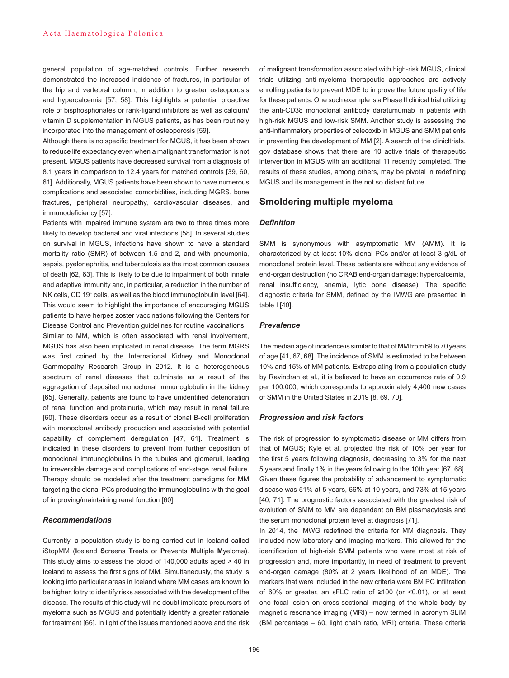general population of age-matched controls. Further research demonstrated the increased incidence of fractures, in particular of the hip and vertebral column, in addition to greater osteoporosis and hypercalcemia [57, 58]. This highlights a potential proactive role of bisphosphonates or rank-ligand inhibitors as well as calcium/ vitamin D supplementation in MGUS patients, as has been routinely incorporated into the management of osteoporosis [59].

Although there is no specific treatment for MGUS, it has been shown to reduce life expectancy even when a malignant transformation is not present. MGUS patients have decreased survival from a diagnosis of 8.1 years in comparison to 12.4 years for matched controls [39, 60, 61]. Additionally, MGUS patients have been shown to have numerous complications and associated comorbidities, including MGRS, bone fractures, peripheral neuropathy, cardiovascular diseases, and immunodeficiency [57].

Patients with impaired immune system are two to three times more likely to develop bacterial and viral infections [58]. In several studies on survival in MGUS, infections have shown to have a standard mortality ratio (SMR) of between 1.5 and 2, and with pneumonia, sepsis, pyelonephritis, and tuberculosis as the most common causes of death [62, 63]. This is likely to be due to impairment of both innate and adaptive immunity and, in particular, a reduction in the number of NK cells, CD 19<sup>+</sup> cells, as well as the blood immunoglobulin level [64]. This would seem to highlight the importance of encouraging MGUS patients to have herpes zoster vaccinations following the Centers for Disease Control and Prevention guidelines for routine vaccinations.

Similar to MM, which is often associated with renal involvement, MGUS has also been implicated in renal disease. The term MGRS was first coined by the International Kidney and Monoclonal Gammopathy Research Group in 2012. It is a heterogeneous spectrum of renal diseases that culminate as a result of the aggregation of deposited monoclonal immunoglobulin in the kidney [65]. Generally, patients are found to have unidentified deterioration of renal function and proteinuria, which may result in renal failure [60]. These disorders occur as a result of clonal B-cell proliferation with monoclonal antibody production and associated with potential capability of complement deregulation [47, 61]. Treatment is indicated in these disorders to prevent from further deposition of monoclonal immunoglobulins in the tubules and glomeruli, leading to irreversible damage and complications of end-stage renal failure. Therapy should be modeled after the treatment paradigms for MM targeting the clonal PCs producing the immunoglobulins with the goal of improving/maintaining renal function [60].

# *Recommendations*

Currently, a population study is being carried out in Iceland called iStopMM (**I**celand **S**creens **T**reats or **P**revents **M**ultiple **M**yeloma). This study aims to assess the blood of 140,000 adults aged > 40 in Iceland to assess the first signs of MM. Simultaneously, the study is looking into particular areas in Iceland where MM cases are known to be higher, to try to identify risks associated with the development of the disease. The results of this study will no doubt implicate precursors of myeloma such as MGUS and potentially identify a greater rationale for treatment [66]. In light of the issues mentioned above and the risk

of malignant transformation associated with high-risk MGUS, clinical trials utilizing anti-myeloma therapeutic approaches are actively enrolling patients to prevent MDE to improve the future quality of life for these patients. One such example is a Phase II clinical trial utilizing the anti-CD38 monoclonal antibody daratumumab in patients with high-risk MGUS and low-risk SMM. Another study is assessing the anti-inflammatory properties of celecoxib in MGUS and SMM patients in preventing the development of MM [2]. A search of the clinicltrials. gov database shows that there are 10 active trials of therapeutic intervention in MGUS with an additional 11 recently completed. The results of these studies, among others, may be pivotal in redefining MGUS and its management in the not so distant future.

# **Smoldering multiple myeloma**

#### *Definition*

SMM is synonymous with asymptomatic MM (AMM). It is characterized by at least 10% clonal PCs and/or at least 3 g/dL of monoclonal protein level. These patients are without any evidence of end-organ destruction (no CRAB end-organ damage: hypercalcemia, renal insufficiency, anemia, lytic bone disease). The specific diagnostic criteria for SMM, defined by the IMWG are presented in table I [40].

#### *Prevalence*

The median age of incidence is similar to that of MM from 69 to 70 years of age [41, 67, 68]. The incidence of SMM is estimated to be between 10% and 15% of MM patients. Extrapolating from a population study by Ravindran et al., it is believed to have an occurrence rate of 0.9 per 100,000, which corresponds to approximately 4,400 new cases of SMM in the United States in 2019 [8, 69, 70].

#### *Progression and risk factors*

The risk of progression to symptomatic disease or MM differs from that of MGUS; Kyle et al. projected the risk of 10% per year for the first 5 years following diagnosis, decreasing to 3% for the next 5 years and finally 1% in the years following to the 10th year [67, 68]. Given these figures the probability of advancement to symptomatic disease was 51% at 5 years, 66% at 10 years, and 73% at 15 years [40, 71]. The prognostic factors associated with the greatest risk of evolution of SMM to MM are dependent on BM plasmacytosis and the serum monoclonal protein level at diagnosis [71].

In 2014, the IMWG redefined the criteria for MM diagnosis. They included new laboratory and imaging markers. This allowed for the identification of high-risk SMM patients who were most at risk of progression and, more importantly, in need of treatment to prevent end-organ damage (80% at 2 years likelihood of an MDE). The markers that were included in the new criteria were BM PC infiltration of 60% or greater, an sFLC ratio of ≥100 (or <0.01), or at least one focal lesion on cross-sectional imaging of the whole body by magnetic resonance imaging (MRI) – now termed in acronym SLiM (BM percentage – 60, light chain ratio, MRI) criteria. These criteria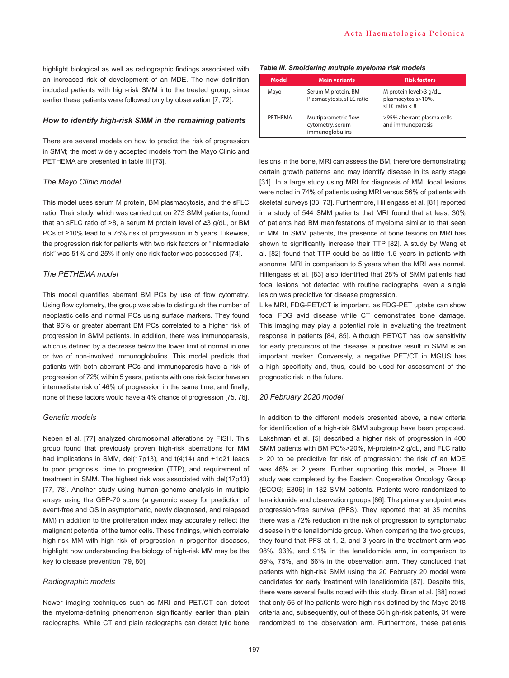highlight biological as well as radiographic findings associated with an increased risk of development of an MDE. The new definition included patients with high-risk SMM into the treated group, since earlier these patients were followed only by observation [7, 72].

# *How to identify high-risk SMM in the remaining patients*

There are several models on how to predict the risk of progression in SMM; the most widely accepted models from the Mayo Clinic and PETHEMA are presented in table III [73].

# *The Mayo Clinic model*

This model uses serum M protein, BM plasmacytosis, and the sFLC ratio. Their study, which was carried out on 273 SMM patients, found that an sFLC ratio of >8, a serum M protein level of ≥3 g/dL, or BM PCs of ≥10% lead to a 76% risk of progression in 5 years. Likewise, the progression risk for patients with two risk factors or "intermediate risk" was 51% and 25% if only one risk factor was possessed [74].

# *The PETHEMA model*

This model quantifies aberrant BM PCs by use of flow cytometry. Using flow cytometry, the group was able to distinguish the number of neoplastic cells and normal PCs using surface markers. They found that 95% or greater aberrant BM PCs correlated to a higher risk of progression in SMM patients. In addition, there was immunoparesis, which is defined by a decrease below the lower limit of normal in one or two of non-involved immunoglobulins. This model predicts that patients with both aberrant PCs and immunoparesis have a risk of progression of 72% within 5 years, patients with one risk factor have an intermediate risk of 46% of progression in the same time, and finally, none of these factors would have a 4% chance of progression [75, 76].

## *Genetic models*

Neben et al. [77] analyzed chromosomal alterations by FISH. This group found that previously proven high-risk aberrations for MM had implications in SMM, del(17p13), and t(4;14) and +1q21 leads to poor prognosis, time to progression (TTP), and requirement of treatment in SMM. The highest risk was associated with del(17p13) [77, 78]. Another study using human genome analysis in multiple arrays using the GEP-70 score (a genomic assay for prediction of event-free and OS in asymptomatic, newly diagnosed, and relapsed MM) in addition to the proliferation index may accurately reflect the malignant potential of the tumor cells. These findings, which correlate high-risk MM with high risk of progression in progenitor diseases, highlight how understanding the biology of high-risk MM may be the key to disease prevention [79, 80].

## *Radiographic models*

Newer imaging techniques such as MRI and PET/CT can detect the myeloma-defining phenomenon significantly earlier than plain radiographs. While CT and plain radiographs can detect lytic bone

#### *Table III. Smoldering multiple myeloma risk models*

| <b>Model</b> | <b>Main variants</b>                                        | <b>Risk factors</b>                                                 |  |
|--------------|-------------------------------------------------------------|---------------------------------------------------------------------|--|
| Mayo         | Serum M protein, BM<br>Plasmacytosis, sFLC ratio            | M protein level>3 g/dL,<br>plasmacytosis>10%,<br>$sFLC$ ratio $< 8$ |  |
| PETHEMA      | Multiparametric flow<br>cytometry, serum<br>immunoglobulins | >95% aberrant plasma cells<br>and immunoparesis                     |  |

lesions in the bone, MRI can assess the BM, therefore demonstrating certain growth patterns and may identify disease in its early stage [31]. In a large study using MRI for diagnosis of MM, focal lesions were noted in 74% of patients using MRI versus 56% of patients with skeletal surveys [33, 73]. Furthermore, Hillengass et al. [81] reported in a study of 544 SMM patients that MRI found that at least 30% of patients had BM manifestations of myeloma similar to that seen in MM. In SMM patients, the presence of bone lesions on MRI has shown to significantly increase their TTP [82]. A study by Wang et al. [82] found that TTP could be as little 1.5 years in patients with abnormal MRI in comparison to 5 years when the MRI was normal. Hillengass et al. [83] also identified that 28% of SMM patients had focal lesions not detected with routine radiographs; even a single lesion was predictive for disease progression.

Like MRI, FDG-PET/CT is important, as FDG-PET uptake can show focal FDG avid disease while CT demonstrates bone damage. This imaging may play a potential role in evaluating the treatment response in patients [84, 85]. Although PET/CT has low sensitivity for early precursors of the disease, a positive result in SMM is an important marker. Conversely, a negative PET/CT in MGUS has a high specificity and, thus, could be used for assessment of the prognostic risk in the future.

#### *20 February 2020 model*

In addition to the different models presented above, a new criteria for identification of a high-risk SMM subgroup have been proposed. Lakshman et al. [5] described a higher risk of progression in 400 SMM patients with BM PC%>20%, M-protein>2 g/dL, and FLC ratio > 20 to be predictive for risk of progression: the risk of an MDE was 46% at 2 years. Further supporting this model, a Phase III study was completed by the Eastern Cooperative Oncology Group (ECOG; E306) in 182 SMM patients. Patients were randomized to lenalidomide and observation groups [86]. The primary endpoint was progression-free survival (PFS). They reported that at 35 months there was a 72% reduction in the risk of progression to symptomatic disease in the lenalidomide group. When comparing the two groups, they found that PFS at 1, 2, and 3 years in the treatment arm was 98%, 93%, and 91% in the lenalidomide arm, in comparison to 89%, 75%, and 66% in the observation arm. They concluded that patients with high-risk SMM using the 20 February 20 model were candidates for early treatment with lenalidomide [87]. Despite this, there were several faults noted with this study. Biran et al. [88] noted that only 56 of the patients were high-risk defined by the Mayo 2018 criteria and, subsequently, out of these 56 high-risk patients, 31 were randomized to the observation arm. Furthermore, these patients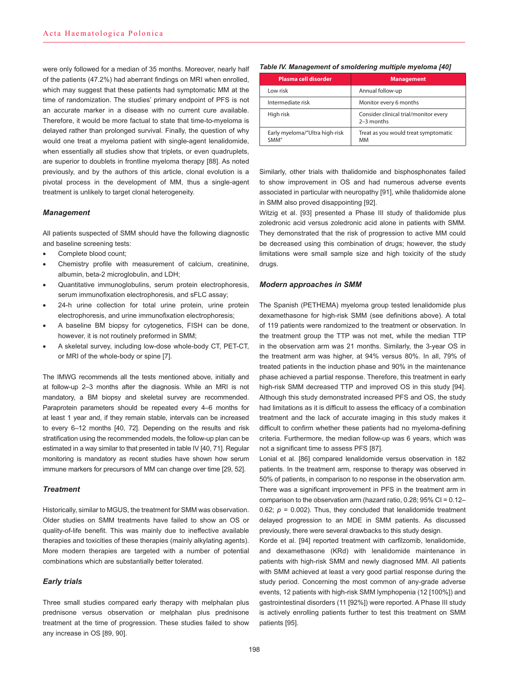were only followed for a median of 35 months. Moreover, nearly half of the patients (47.2%) had aberrant findings on MRI when enrolled, which may suggest that these patients had symptomatic MM at the time of randomization. The studies' primary endpoint of PFS is not an accurate marker in a disease with no current cure available. Therefore, it would be more factual to state that time-to-myeloma is delayed rather than prolonged survival. Finally, the question of why would one treat a myeloma patient with single-agent lenalidomide, when essentially all studies show that triplets, or even quadruplets, are superior to doublets in frontline myeloma therapy [88]. As noted previously, and by the authors of this article, clonal evolution is a pivotal process in the development of MM, thus a single-agent treatment is unlikely to target clonal heterogeneity.

# *Management*

All patients suspected of SMM should have the following diagnostic and baseline screening tests:

- Complete blood count:
- Chemistry profile with measurement of calcium, creatinine, albumin, beta-2 microglobulin, and LDH;
- Quantitative immunoglobulins, serum protein electrophoresis, serum immunofixation electrophoresis, and sFLC assay;
- 24-h urine collection for total urine protein, urine protein electrophoresis, and urine immunofixation electrophoresis;
- A baseline BM biopsy for cytogenetics, FISH can be done, however, it is not routinely preformed in SMM;
- A skeletal survey, including low-dose whole-body CT, PET-CT, or MRI of the whole-body or spine [7].

The IMWG recommends all the tests mentioned above, initially and at follow-up 2–3 months after the diagnosis. While an MRI is not mandatory, a BM biopsy and skeletal survey are recommended. Paraprotein parameters should be repeated every 4–6 months for at least 1 year and, if they remain stable, intervals can be increased to every 6–12 months [40, 72]. Depending on the results and risk stratification using the recommended models, the follow-up plan can be estimated in a way similar to that presented in table IV [40, 71]. Regular monitoring is mandatory as recent studies have shown how serum immune markers for precursors of MM can change over time [29, 52].

# *Treatment*

Historically, similar to MGUS, the treatment for SMM was observation. Older studies on SMM treatments have failed to show an OS or quality-of-life benefit. This was mainly due to ineffective available therapies and toxicities of these therapies (mainly alkylating agents). More modern therapies are targeted with a number of potential combinations which are substantially better tolerated.

## *Early trials*

Three small studies compared early therapy with melphalan plus prednisone versus observation or melphalan plus prednisone treatment at the time of progression. These studies failed to show any increase in OS [89, 90].

#### *Table IV. Management of smoldering multiple myeloma [40]*

| Plasma cell disorder                   | <b>Management</b>                                     |
|----------------------------------------|-------------------------------------------------------|
| Low risk                               | Annual follow-up                                      |
| Intermediate risk                      | Monitor every 6 months                                |
| High risk                              | Consider clinical trial/monitor every<br>$2-3$ months |
| Early myeloma/"Ultra high-risk<br>SMM" | Treat as you would treat symptomatic<br>MМ            |

Similarly, other trials with thalidomide and bisphosphonates failed to show improvement in OS and had numerous adverse events associated in particular with neuropathy [91], while thalidomide alone in SMM also proved disappointing [92].

Witzig et al. [93] presented a Phase III study of thalidomide plus zoledronic acid versus zoledronic acid alone in patients with SMM. They demonstrated that the risk of progression to active MM could be decreased using this combination of drugs; however, the study limitations were small sample size and high toxicity of the study drugs.

#### *Modern approaches in SMM*

The Spanish (PETHEMA) myeloma group tested lenalidomide plus dexamethasone for high-risk SMM (see definitions above). A total of 119 patients were randomized to the treatment or observation. In the treatment group the TTP was not met, while the median TTP in the observation arm was 21 months. Similarly, the 3-year OS in the treatment arm was higher, at 94% versus 80%. In all, 79% of treated patients in the induction phase and 90% in the maintenance phase achieved a partial response. Therefore, this treatment in early high-risk SMM decreased TTP and improved OS in this study [94]. Although this study demonstrated increased PFS and OS, the study had limitations as it is difficult to assess the efficacy of a combination treatment and the lack of accurate imaging in this study makes it difficult to confirm whether these patients had no myeloma-defining criteria. Furthermore, the median follow-up was 6 years, which was not a significant time to assess PFS [87].

Lonial et al. [86] compared lenalidomide versus observation in 182 patients. In the treatment arm, response to therapy was observed in 50% of patients, in comparison to no response in the observation arm. There was a significant improvement in PFS in the treatment arm in comparison to the observation arm (hazard ratio, 0.28; 95% CI = 0.12– 0.62;  $p = 0.002$ ). Thus, they concluded that lenalidomide treatment delayed progression to an MDE in SMM patients. As discussed previously, there were several drawbacks to this study design.

Korde et al. [94] reported treatment with carfilzomib, lenalidomide, and dexamethasone (KRd) with lenalidomide maintenance in patients with high-risk SMM and newly diagnosed MM. All patients with SMM achieved at least a very good partial response during the study period. Concerning the most common of any-grade adverse events, 12 patients with high-risk SMM lymphopenia (12 [100%]) and gastrointestinal disorders (11 [92%]) were reported. A Phase III study is actively enrolling patients further to test this treatment on SMM patients [95].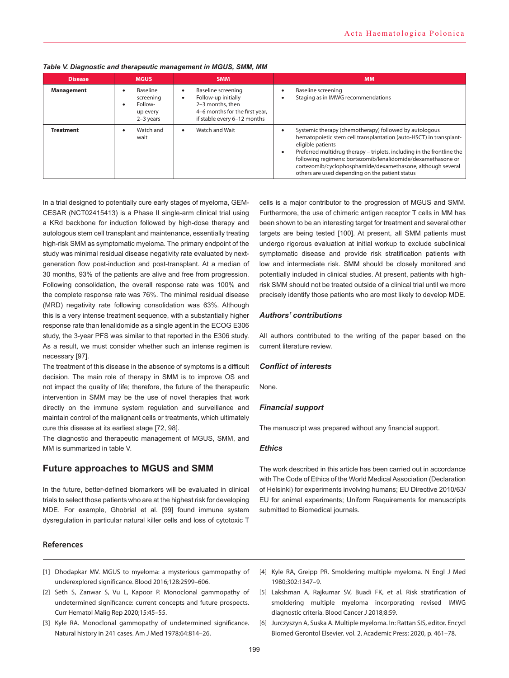| <b>Disease</b>    | <b>MGUS</b>                                                      | <b>SMM</b>                                                                                                                     | <b>MM</b>                                                                                                                                                                                                                                                                                                                                                                                                                               |
|-------------------|------------------------------------------------------------------|--------------------------------------------------------------------------------------------------------------------------------|-----------------------------------------------------------------------------------------------------------------------------------------------------------------------------------------------------------------------------------------------------------------------------------------------------------------------------------------------------------------------------------------------------------------------------------------|
| <b>Management</b> | Baseline<br>screening<br>Follow-<br>٠<br>up every<br>$2-3$ years | Baseline screening<br>Follow-up initially<br>2-3 months, then<br>4-6 months for the first year,<br>if stable every 6-12 months | Baseline screening<br>٠<br>Staging as in IMWG recommendations                                                                                                                                                                                                                                                                                                                                                                           |
| <b>Treatment</b>  | Watch and<br>wait                                                | Watch and Wait                                                                                                                 | Systemic therapy (chemotherapy) followed by autologous<br>$\bullet$<br>hematopoietic stem cell transplantation (auto-HSCT) in transplant-<br>eligible patients<br>Preferred multidrug therapy – triplets, including in the frontline the<br>$\bullet$<br>following regimens: bortezomib/lenalidomide/dexamethasone or<br>cortezomib/cyclophosphamide/dexamethasone, although several<br>others are used depending on the patient status |

## *Table V. Diagnostic and therapeutic management in MGUS, SMM, MM*

In a trial designed to potentially cure early stages of myeloma, GEM-CESAR (NCT02415413) is a Phase II single-arm clinical trial using a KRd backbone for induction followed by high-dose therapy and autologous stem cell transplant and maintenance, essentially treating high-risk SMM as symptomatic myeloma. The primary endpoint of the study was minimal residual disease negativity rate evaluated by nextgeneration flow post-induction and post-transplant. At a median of 30 months, 93% of the patients are alive and free from progression. Following consolidation, the overall response rate was 100% and the complete response rate was 76%. The minimal residual disease (MRD) negativity rate following consolidation was 63%. Although this is a very intense treatment sequence, with a substantially higher response rate than lenalidomide as a single agent in the ECOG E306 study, the 3-year PFS was similar to that reported in the E306 study. As a result, we must consider whether such an intense regimen is necessary [97].

The treatment of this disease in the absence of symptoms is a difficult decision. The main role of therapy in SMM is to improve OS and not impact the quality of life; therefore, the future of the therapeutic intervention in SMM may be the use of novel therapies that work directly on the immune system regulation and surveillance and maintain control of the malignant cells or treatments, which ultimately cure this disease at its earliest stage [72, 98].

The diagnostic and therapeutic management of MGUS, SMM, and MM is summarized in table V.

# **Future approaches to MGUS and SMM**

In the future, better-defined biomarkers will be evaluated in clinical trials to select those patients who are at the highest risk for developing MDE. For example, Ghobrial et al. [99] found immune system dysregulation in particular natural killer cells and loss of cytotoxic T

cells is a major contributor to the progression of MGUS and SMM. Furthermore, the use of chimeric antigen receptor T cells in MM has been shown to be an interesting target for treatment and several other targets are being tested [100]. At present, all SMM patients must undergo rigorous evaluation at initial workup to exclude subclinical symptomatic disease and provide risk stratification patients with low and intermediate risk. SMM should be closely monitored and potentially included in clinical studies. At present, patients with highrisk SMM should not be treated outside of a clinical trial until we more precisely identify those patients who are most likely to develop MDE.

# *Authors' contributions*

All authors contributed to the writing of the paper based on the current literature review.

## *Conflict of interests*

None.

# *Financial support*

The manuscript was prepared without any financial support.

# *Ethics*

The work described in this article has been carried out in accordance with The Code of Ethics of the World Medical Association (Declaration of Helsinki) for experiments involving humans; EU Directive 2010/63/ EU for animal experiments; Uniform Requirements for manuscripts submitted to Biomedical journals.

# **References**

- [1] Dhodapkar MV. MGUS to myeloma: a mysterious gammopathy of underexplored significance. Blood 2016;128:2599–606.
- [2] Seth S, Zanwar S, Vu L, Kapoor P. Monoclonal gammopathy of undetermined significance: current concepts and future prospects. Curr Hematol Malig Rep 2020;15:45–55.
- [3] Kyle RA. Monoclonal gammopathy of undetermined significance. Natural history in 241 cases. Am J Med 1978;64:814–26.
- [4] Kyle RA, Greipp PR. Smoldering multiple myeloma. N Engl J Med 1980;302:1347–9.
- [5] Lakshman A, Rajkumar SV, Buadi FK, et al. Risk stratification of smoldering multiple myeloma incorporating revised IMWG diagnostic criteria. Blood Cancer J 2018;8:59.
- [6] Jurczyszyn A, Suska A. Multiple myeloma. In: Rattan SIS, editor. Encycl Biomed Gerontol Elsevier. vol. 2, Academic Press; 2020, p. 461–78.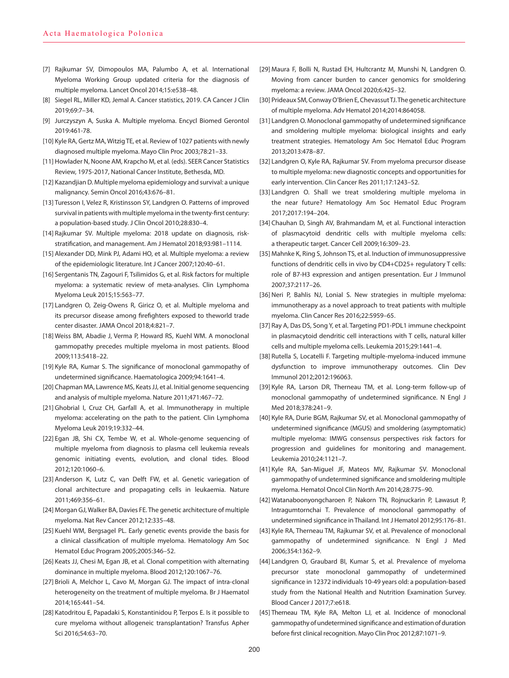- [7] Rajkumar SV, Dimopoulos MA, Palumbo A, et al. International Myeloma Working Group updated criteria for the diagnosis of multiple myeloma. Lancet Oncol 2014;15:e538–48.
- [8] Siegel RL, Miller KD, Jemal A. Cancer statistics, 2019. CA Cancer J Clin 2019;69:7–34.
- [9] Jurczyszyn A, Suska A. Multiple myeloma. Encycl Biomed Gerontol 2019:461-78.
- [10] Kyle RA, Gertz MA, Witzig TE, et al. Review of 1027 patients with newly diagnosed multiple myeloma. Mayo Clin Proc 2003;78:21–33.
- [11] Howlader N, Noone AM, Krapcho M, et al. (eds). SEER Cancer Statistics Review, 1975-2017, National Cancer Institute, Bethesda, MD.
- [12] Kazandjian D. Multiple myeloma epidemiology and survival: a unique malignancy. Semin Oncol 2016;43:676–81.
- [13] Turesson I, Velez R, Kristinsson SY, Landgren O. Patterns of improved survival in patients with multiple myeloma in the twenty-first century: a population-based study. J Clin Oncol 2010;28:830–4.
- [14] Rajkumar SV. Multiple myeloma: 2018 update on diagnosis, riskstratification, and management. Am J Hematol 2018;93:981–1114.
- [15] Alexander DD, Mink PJ, Adami HO, et al. Multiple myeloma: a review of the epidemiologic literature. Int J Cancer 2007;120:40–61.
- [16] Sergentanis TN, Zagouri F, Tsilimidos G, et al. Risk factors for multiple myeloma: a systematic review of meta-analyses. Clin Lymphoma Myeloma Leuk 2015;15:563–77.
- [17] Landgren O, Zeig-Owens R, Giricz O, et al. Multiple myeloma and its precursor disease among firefighters exposed to theworld trade center disaster. JAMA Oncol 2018;4:821–7.
- [18] Weiss BM, Abadie J, Verma P, Howard RS, Kuehl WM. A monoclonal gammopathy precedes multiple myeloma in most patients. Blood 2009;113:5418–22.
- [19] Kyle RA, Kumar S. The significance of monoclonal gammopathy of undetermined significance. Haematologica 2009;94:1641–4.
- [20] Chapman MA, Lawrence MS, Keats JJ, et al. Initial genome sequencing and analysis of multiple myeloma. Nature 2011;471:467–72.
- [21] Ghobrial I, Cruz CH, Garfall A, et al. Immunotherapy in multiple myeloma: accelerating on the path to the patient. Clin Lymphoma Myeloma Leuk 2019;19:332–44.
- [22] Egan JB, Shi CX, Tembe W, et al. Whole-genome sequencing of multiple myeloma from diagnosis to plasma cell leukemia reveals genomic initiating events, evolution, and clonal tides. Blood 2012;120:1060–6.
- [23] Anderson K, Lutz C, van Delft FW, et al. Genetic variegation of clonal architecture and propagating cells in leukaemia. Nature 2011;469:356–61.
- [24] Morgan GJ, Walker BA, Davies FE. The genetic architecture of multiple myeloma. Nat Rev Cancer 2012;12:335–48.
- [25] Kuehl WM, Bergsagel PL. Early genetic events provide the basis for a clinical classification of multiple myeloma. Hematology Am Soc Hematol Educ Program 2005;2005:346–52.
- [26] Keats JJ, Chesi M, Egan JB, et al. Clonal competition with alternating dominance in multiple myeloma. Blood 2012;120:1067–76.
- [27] Brioli A, Melchor L, Cavo M, Morgan GJ. The impact of intra-clonal heterogeneity on the treatment of multiple myeloma. Br J Haematol 2014;165:441–54.
- [28] Katodritou E, Papadaki S, Konstantinidou P, Terpos E. Is it possible to cure myeloma without allogeneic transplantation? Transfus Apher Sci 2016;54:63–70.
- [29] Maura F, Bolli N, Rustad EH, Hultcrantz M, Munshi N, Landgren O. Moving from cancer burden to cancer genomics for smoldering myeloma: a review. JAMA Oncol 2020;6:425–32.
- [30] Prideaux SM, Conway O'Brien E, Chevassut TJ. The genetic architecture of multiple myeloma. Adv Hematol 2014;2014:864058.
- [31] Landgren O. Monoclonal gammopathy of undetermined significance and smoldering multiple myeloma: biological insights and early treatment strategies. Hematology Am Soc Hematol Educ Program 2013;2013:478–87.
- [32] Landgren O, Kyle RA, Rajkumar SV. From myeloma precursor disease to multiple myeloma: new diagnostic concepts and opportunities for early intervention. Clin Cancer Res 2011;17:1243–52.
- [33] Landgren O. Shall we treat smoldering multiple myeloma in the near future? Hematology Am Soc Hematol Educ Program 2017;2017:194–204.
- [34] Chauhan D, Singh AV, Brahmandam M, et al. Functional interaction of plasmacytoid dendritic cells with multiple myeloma cells: a therapeutic target. Cancer Cell 2009;16:309–23.
- [35] Mahnke K, Ring S, Johnson TS, et al. Induction of immunosuppressive functions of dendritic cells in vivo by CD4+CD25+ regulatory T cells: role of B7-H3 expression and antigen presentation. Eur J Immunol 2007;37:2117–26.
- [36] Neri P, Bahlis NJ, Lonial S. New strategies in multiple myeloma: immunotherapy as a novel approach to treat patients with multiple myeloma. Clin Cancer Res 2016;22:5959–65.
- [37] Ray A, Das DS, Song Y, et al. Targeting PD1-PDL1 immune checkpoint in plasmacytoid dendritic cell interactions with T cells, natural killer cells and multiple myeloma cells. Leukemia 2015;29:1441–4.
- [38] Rutella S, Locatelli F. Targeting multiple-myeloma-induced immune dysfunction to improve immunotherapy outcomes. Clin Dev Immunol 2012;2012:196063.
- [39] Kyle RA, Larson DR, Therneau TM, et al. Long-term follow-up of monoclonal gammopathy of undetermined significance. N Engl J Med 2018;378:241–9.
- [40] Kyle RA, Durie BGM, Rajkumar SV, et al. Monoclonal gammopathy of undetermined significance (MGUS) and smoldering (asymptomatic) multiple myeloma: IMWG consensus perspectives risk factors for progression and guidelines for monitoring and management. Leukemia 2010;24:1121–7.
- [41] Kyle RA, San-Miguel JF, Mateos MV, Rajkumar SV. Monoclonal gammopathy of undetermined significance and smoldering multiple myeloma. Hematol Oncol Clin North Am 2014;28:775–90.
- [42] Watanaboonyongcharoen P, Nakorn TN, Rojnuckarin P, Lawasut P, Intragumtornchai T. Prevalence of monoclonal gammopathy of undetermined significance in Thailand. Int J Hematol 2012;95:176–81.
- [43] Kyle RA, Therneau TM, Rajkumar SV, et al. Prevalence of monoclonal gammopathy of undetermined significance. N Engl J Med 2006;354:1362–9.
- [44] Landgren O, Graubard BI, Kumar S, et al. Prevalence of myeloma precursor state monoclonal gammopathy of undetermined significance in 12372 individuals 10-49 years old: a population-based study from the National Health and Nutrition Examination Survey. Blood Cancer J 2017;7:e618.
- [45] Therneau TM, Kyle RA, Melton LJ, et al. Incidence of monoclonal gammopathy of undetermined significance and estimation of duration before first clinical recognition. Mayo Clin Proc 2012;87:1071–9.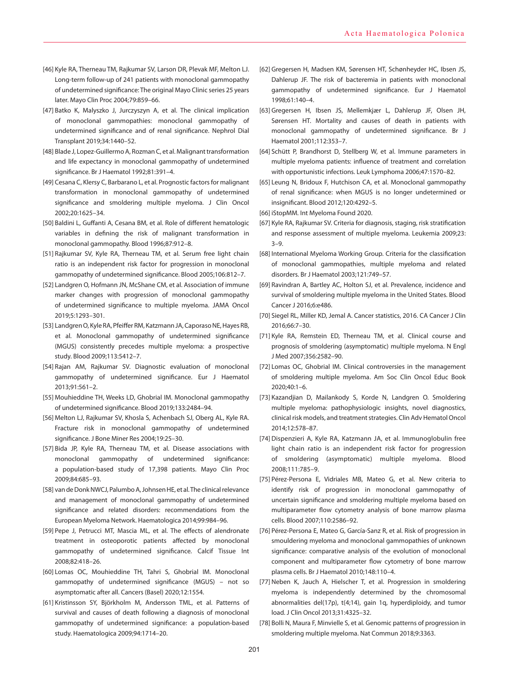- [46] Kyle RA, Therneau TM, Rajkumar SV, Larson DR, Plevak MF, Melton LJ. Long-term follow-up of 241 patients with monoclonal gammopathy of undetermined significance: The original Mayo Clinic series 25 years later. Mayo Clin Proc 2004;79:859–66.
- [47] Batko K, Malyszko J, Jurczyszyn A, et al. The clinical implication of monoclonal gammopathies: monoclonal gammopathy of undetermined significance and of renal significance. Nephrol Dial Transplant 2019;34:1440–52.
- [48] Blade J, Lopez-Guillermo A, Rozman C, et al. Malignant transformation and life expectancy in monoclonal gammopathy of undetermined significance. Br J Haematol 1992;81:391–4.
- [49] Cesana C, Klersy C, Barbarano L, et al. Prognostic factors for malignant transformation in monoclonal gammopathy of undetermined significance and smoldering multiple myeloma. J Clin Oncol 2002;20:1625–34.
- [50] Baldini L, Guffanti A, Cesana BM, et al. Role of different hematologic variables in defining the risk of malignant transformation in monoclonal gammopathy. Blood 1996;87:912–8.
- [51] Rajkumar SV, Kyle RA, Therneau TM, et al. Serum free light chain ratio is an independent risk factor for progression in monoclonal gammopathy of undetermined significance. Blood 2005;106:812–7.
- [52] Landgren O, Hofmann JN, McShane CM, et al. Association of immune marker changes with progression of monoclonal gammopathy of undetermined significance to multiple myeloma. JAMA Oncol 2019;5:1293–301.
- [53] Landgren O, Kyle RA, Pfeiffer RM, Katzmann JA, Caporaso NE, Hayes RB, et al. Monoclonal gammopathy of undetermined significance (MGUS) consistently precedes multiple myeloma: a prospective study. Blood 2009;113:5412–7.
- [54] Rajan AM, Rajkumar SV. Diagnostic evaluation of monoclonal gammopathy of undetermined significance. Eur J Haematol 2013;91:561–2.
- [55] Mouhieddine TH, Weeks LD, Ghobrial IM. Monoclonal gammopathy of undetermined significance. Blood 2019;133:2484–94.
- [56] Melton LJ, Rajkumar SV, Khosla S, Achenbach SJ, Oberg AL, Kyle RA. Fracture risk in monoclonal gammopathy of undetermined significance. J Bone Miner Res 2004;19:25–30.
- [57] Bida JP, Kyle RA, Therneau TM, et al. Disease associations with monoclonal gammopathy of undetermined significance: a population-based study of 17,398 patients. Mayo Clin Proc 2009;84:685–93.
- [58] van de Donk NWCJ, Palumbo A, Johnsen HE, et al. The clinical relevance and management of monoclonal gammopathy of undetermined significance and related disorders: recommendations from the European Myeloma Network. Haematologica 2014;99:984–96.
- [59] Pepe J, Petrucci MT, Mascia ML, et al. The effects of alendronate treatment in osteoporotic patients affected by monoclonal gammopathy of undetermined significance. Calcif Tissue Int 2008;82:418–26.
- [60] Lomas OC, Mouhieddine TH, Tahri S, Ghobrial IM. Monoclonal gammopathy of undetermined significance (MGUS) – not so asymptomatic after all. Cancers (Basel) 2020;12:1554.
- [61] Kristinsson SY, Björkholm M, Andersson TML, et al. Patterns of survival and causes of death following a diagnosis of monoclonal gammopathy of undetermined significance: a population-based study. Haematologica 2009;94:1714–20.
- [62] Gregersen H, Madsen KM, Sørensen HT, Schønheyder HC, Ibsen JS, Dahlerup JF. The risk of bacteremia in patients with monoclonal gammopathy of undetermined significance. Eur J Haematol 1998;61:140–4.
- [63] Gregersen H, Ibsen JS, Mellemkjær L, Dahlerup JF, Olsen JH, Sørensen HT. Mortality and causes of death in patients with monoclonal gammopathy of undetermined significance. Br J Haematol 2001;112:353–7.
- [64] Schütt P, Brandhorst D, Stellberg W, et al. Immune parameters in multiple myeloma patients: influence of treatment and correlation with opportunistic infections. Leuk Lymphoma 2006;47:1570–82.
- [65] Leung N, Bridoux F, Hutchison CA, et al. Monoclonal gammopathy of renal significance: when MGUS is no longer undetermined or insignificant. Blood 2012;120:4292–5.
- [66] iStopMM. Int Myeloma Found 2020.
- [67] Kyle RA, Rajkumar SV. Criteria for diagnosis, staging, risk stratification and response assessment of multiple myeloma. Leukemia 2009;23: 3–9.
- [68] International Myeloma Working Group. Criteria for the classification of monoclonal gammopathies, multiple myeloma and related disorders. Br J Haematol 2003;121:749–57.
- [69] Ravindran A, Bartley AC, Holton SJ, et al. Prevalence, incidence and survival of smoldering multiple myeloma in the United States. Blood Cancer J 2016;6:e486.
- [70] Siegel RL, Miller KD, Jemal A. Cancer statistics, 2016. CA Cancer J Clin 2016;66:7–30.
- [71] Kyle RA, Remstein ED, Therneau TM, et al. Clinical course and prognosis of smoldering (asymptomatic) multiple myeloma. N Engl J Med 2007;356:2582–90.
- [72] Lomas OC, Ghobrial IM. Clinical controversies in the management of smoldering multiple myeloma. Am Soc Clin Oncol Educ Book 2020;40:1–6.
- [73] Kazandjian D, Mailankody S, Korde N, Landgren O. Smoldering multiple myeloma: pathophysiologic insights, novel diagnostics, clinical risk models, and treatment strategies. Clin Adv Hematol Oncol 2014;12:578–87.
- [74] Dispenzieri A, Kyle RA, Katzmann JA, et al. Immunoglobulin free light chain ratio is an independent risk factor for progression of smoldering (asymptomatic) multiple myeloma. Blood 2008;111:785–9.
- [75] Pérez-Persona E, Vidriales MB, Mateo G, et al. New criteria to identify risk of progression in monoclonal gammopathy of uncertain significance and smoldering multiple myeloma based on multiparameter flow cytometry analysis of bone marrow plasma cells. Blood 2007;110:2586–92.
- [76] Pérez-Persona E, Mateo G, García-Sanz R, et al. Risk of progression in smouldering myeloma and monoclonal gammopathies of unknown significance: comparative analysis of the evolution of monoclonal component and multiparameter flow cytometry of bone marrow plasma cells. Br J Haematol 2010;148:110–4.
- [77] Neben K, Jauch A, Hielscher T, et al. Progression in smoldering myeloma is independently determined by the chromosomal abnormalities del(17p), t(4;14), gain 1q, hyperdiploidy, and tumor load. J Clin Oncol 2013;31:4325–32.
- [78] Bolli N, Maura F, Minvielle S, et al. Genomic patterns of progression in smoldering multiple myeloma. Nat Commun 2018;9:3363.